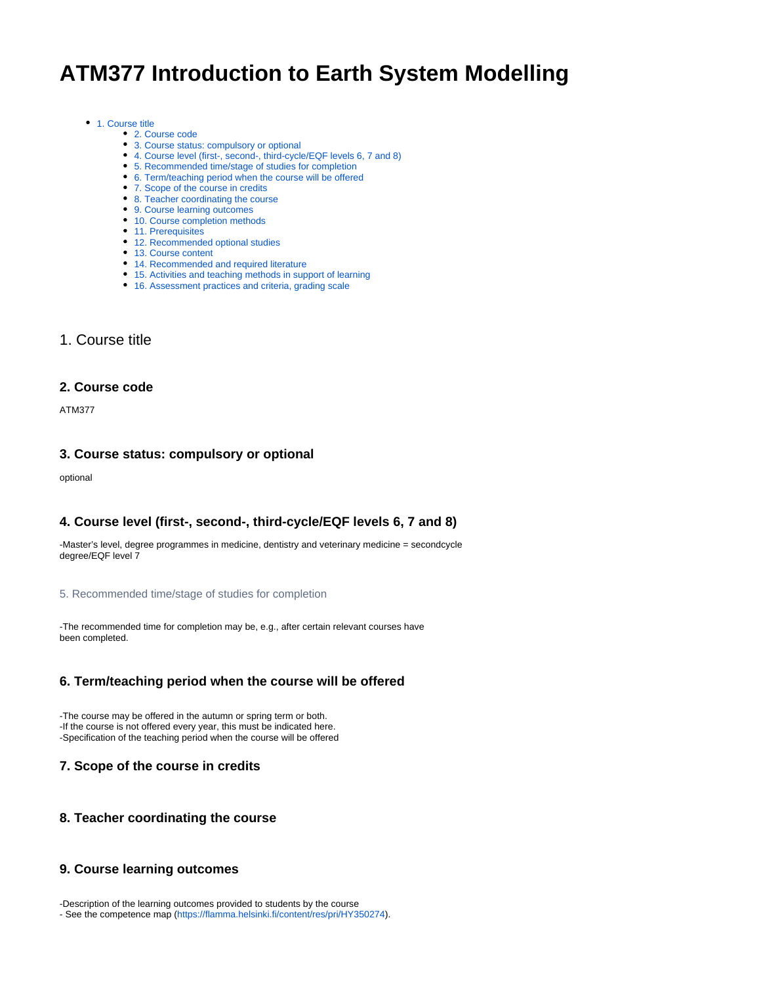# **ATM377 Introduction to Earth System Modelling**

#### • [1. Course title](https://wiki.helsinki.fi/display/opetussuunnitelma/Course+details#Coursedetails-1.Coursetitle)

- [2. Course code](https://wiki.helsinki.fi/display/opetussuunnitelma/Course+details#Coursedetails-2.Coursecode)
- [3. Course status: compulsory or optional](https://wiki.helsinki.fi/display/opetussuunnitelma/Course+details#Coursedetails-3.Coursestatus:compulsoryoroptional)
- [4. Course level \(first-, second-, third-cycle/EQF levels 6, 7 and 8\)](https://wiki.helsinki.fi/display/opetussuunnitelma/Course+details#Coursedetails-4.Courselevel(first-,second-,third-cycle/EQFlevels6,7and8))
- [5. Recommended time/stage of studies for completion](https://wiki.helsinki.fi/display/opetussuunnitelma/Course+details#Coursedetails-5.Recommendedtime/stageofstudiesforcompletion)
- [6. Term/teaching period when the course will be offered](https://wiki.helsinki.fi/display/opetussuunnitelma/Course+details#Coursedetails-6.Term/teachingperiodwhenthecoursewillbeoffered)
- [7. Scope of the course in credits](https://wiki.helsinki.fi/display/opetussuunnitelma/Course+details#Coursedetails-7.Scopeofthecourseincredits)
- [8. Teacher coordinating the course](https://wiki.helsinki.fi/display/opetussuunnitelma/Course+details#Coursedetails-8.Teachercoordinatingthecourse)
- [9. Course learning outcomes](https://wiki.helsinki.fi/display/opetussuunnitelma/Course+details#Coursedetails-9.Courselearningoutcomes)
- [10. Course completion methods](https://wiki.helsinki.fi/display/opetussuunnitelma/Course+details#Coursedetails-10.Coursecompletionmethods)
- [11. Prerequisites](https://wiki.helsinki.fi/display/opetussuunnitelma/Course+details#Coursedetails-11.Prerequisites)
- [12. Recommended optional studies](https://wiki.helsinki.fi/display/opetussuunnitelma/Course+details#Coursedetails-12.Recommendedoptionalstudies)
- [13. Course content](https://wiki.helsinki.fi/display/opetussuunnitelma/Course+details#Coursedetails-13.Coursecontent)
- [14. Recommended and required literature](https://wiki.helsinki.fi/display/opetussuunnitelma/Course+details#Coursedetails-14.Recommendedandrequiredliterature)
- [15. Activities and teaching methods in support of learning](https://wiki.helsinki.fi/display/opetussuunnitelma/Course+details#Coursedetails-15.Activitiesandteachingmethodsinsupportoflearning)
- [16. Assessment practices and criteria, grading scale](https://wiki.helsinki.fi/display/opetussuunnitelma/Course+details#Coursedetails-16.Assessmentpracticesandcriteria,gradingscale)

# 1. Course title

#### **2. Course code**

ATM377

#### **3. Course status: compulsory or optional**

optional

## **4. Course level (first-, second-, third-cycle/EQF levels 6, 7 and 8)**

-Master's level, degree programmes in medicine, dentistry and veterinary medicine = secondcycle degree/EQF level 7

#### 5. Recommended time/stage of studies for completion

-The recommended time for completion may be, e.g., after certain relevant courses have been completed.

## **6. Term/teaching period when the course will be offered**

-The course may be offered in the autumn or spring term or both. -If the course is not offered every year, this must be indicated here. -Specification of the teaching period when the course will be offered

## **7. Scope of the course in credits**

#### **8. Teacher coordinating the course**

### **9. Course learning outcomes**

-Description of the learning outcomes provided to students by the course - See the competence map ([https://flamma.helsinki.fi/content/res/pri/HY350274\)](https://flamma.helsinki.fi/content/res/pri/HY350274).